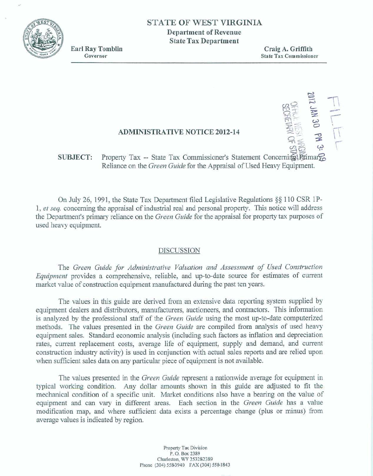

# STATE OF WEST VIRGINIA

**Department of Revenue State Tax Department** 

**Earl Ray Tomblin** Governor

Craig A. Griffith **State Tax Commissioner** 

FILLEL<br>FILLEL

## **ADMINISTRATIVE NOTICE 2012-14**

#### Property Tax -- State Tax Commissioner's Statement Concerning Firmary **SUBJECT:** Reliance on the Green Guide for the Appraisal of Used Heavy Equipment.

On July 26, 1991, the State Tax Department filed Legislative Regulations §§ 110 CSR 1P-1, et seq. concerning the appraisal of industrial real and personal property. This notice will address the Department's primary reliance on the Green Guide for the appraisal for property tax purposes of used heavy equipment.

### **DISCUSSION**

The Green Guide for Administrative Valuation and Assessment of Used Construction Equipment provides a comprehensive, reliable, and up-to-date source for estimates of current market value of construction equipment manufactured during the past ten years.

The values in this guide are derived from an extensive data reporting system supplied by equipment dealers and distributors, manufacturers, auctioneers, and contractors. This information is analyzed by the professional staff of the Green Guide using the most up-to-date computerized methods. The values presented in the Green Guide are compiled from analysis of used heavy equipment sales. Standard economic analysis (including such factors as inflation and depreciation rates, current replacement costs, average life of equipment, supply and demand, and current construction industry activity) is used in conjunction with actual sales reports and are relied upon when sufficient sales data on any particular piece of equipment is not available.

The values presented in the *Green Guide* represent a nationwide average for equipment in typical working condition. Any dollar amounts shown in this guide are adjusted to fit the mechanical condition of a specific unit. Market conditions also have a bearing on the value of equipment and can vary in different areas. Each section in the Green Guide has a value modification map, and where sufficient data exists a percentage change (plus or minus) from average values is indicated by region.

> Property Tax Division P.O. Box 2389 Charleston, WV 253282389 Phone (304) 558-3940 FAX (304) 558-1843